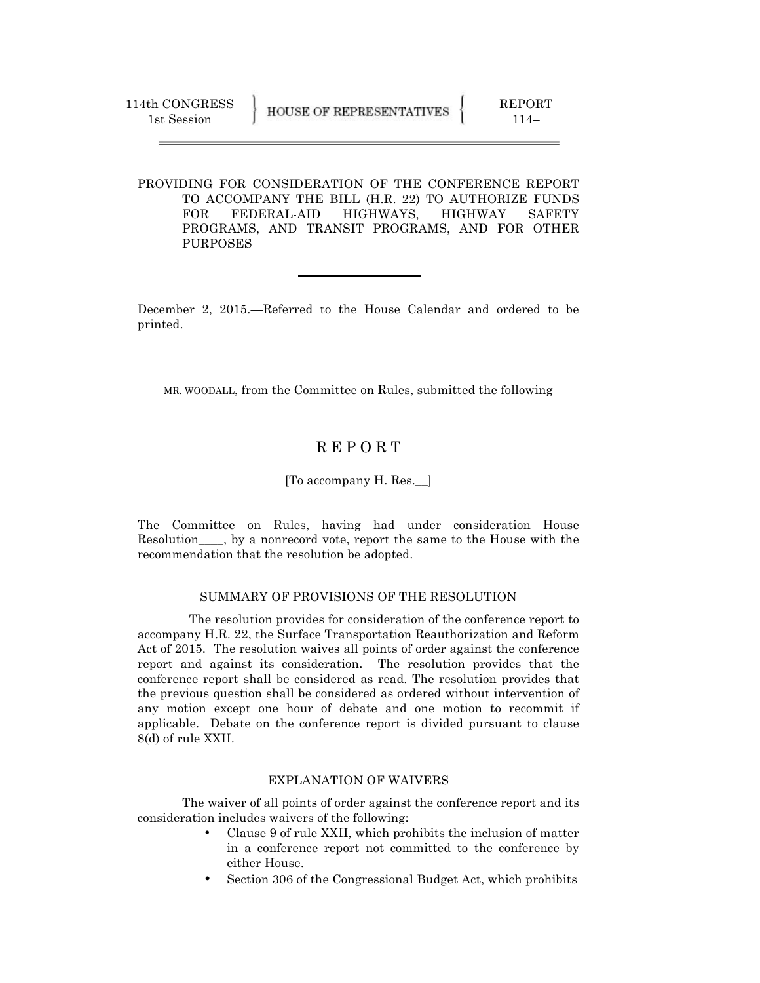PROVIDING FOR CONSIDERATION OF THE CONFERENCE REPORT TO ACCOMPANY THE BILL (H.R. 22) TO AUTHORIZE FUNDS FOR FEDERAL-AID HIGHWAYS, HIGHWAY SAFETY PROGRAMS, AND TRANSIT PROGRAMS, AND FOR OTHER PURPOSES

December 2, 2015.—Referred to the House Calendar and ordered to be printed.

MR. WOODALL, from the Committee on Rules, submitted the following

## R E P O R T

## [To accompany H. Res.\_\_]

The Committee on Rules, having had under consideration House Resolution\_\_\_\_, by a nonrecord vote, report the same to the House with the recommendation that the resolution be adopted.

## SUMMARY OF PROVISIONS OF THE RESOLUTION

 The resolution provides for consideration of the conference report to accompany H.R. 22, the Surface Transportation Reauthorization and Reform Act of 2015. The resolution waives all points of order against the conference report and against its consideration. The resolution provides that the conference report shall be considered as read. The resolution provides that the previous question shall be considered as ordered without intervention of any motion except one hour of debate and one motion to recommit if applicable. Debate on the conference report is divided pursuant to clause 8(d) of rule XXII.

## EXPLANATION OF WAIVERS

The waiver of all points of order against the conference report and its consideration includes waivers of the following:

- Clause 9 of rule XXII, which prohibits the inclusion of matter in a conference report not committed to the conference by either House.
- Section 306 of the Congressional Budget Act, which prohibits